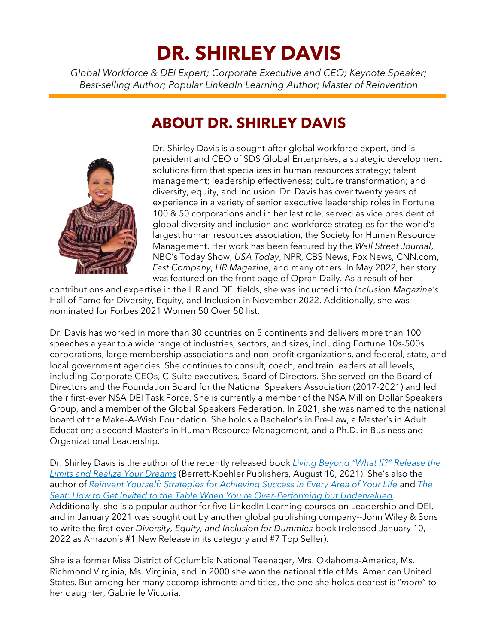# **DR. SHIRLEY DAVIS**

*Global Workforce & DEI Expert; Corporate Executive and CEO; Keynote Speaker; Best-selling Author; Popular LinkedIn Learning Author; Master of Reinvention*

# **ABOUT DR. SHIRLEY DAVIS**



Dr. Shirley Davis is a sought-after global workforce expert, and is president and CEO of SDS Global Enterprises, a strategic development solutions firm that specializes in human resources strategy; talent management; leadership effectiveness; culture transformation; and diversity, equity, and inclusion. Dr. Davis has over twenty years of experience in a variety of senior executive leadership roles in Fortune 100 & 50 corporations and in her last role, served as vice president of global diversity and inclusion and workforce strategies for the world's largest human resources association, the Society for Human Resource Management. Her work has been featured by the *Wall Street Journal*, NBC's Today Show, *USA Today*, NPR, CBS News, Fox News, CNN.com, *Fast Company*, *HR Magazine*, and many others. In May 2022, her story was featured on the front page of Oprah Daily. As a result of her

contributions and expertise in the HR and DEI fields, she was inducted into *Inclusion Magazine's* Hall of Fame for Diversity, Equity, and Inclusion in November 2022. Additionally, she was nominated for Forbes 2021 Women 50 Over 50 list.

Dr. Davis has worked in more than 30 countries on 5 continents and delivers more than 100 speeches a year to a wide range of industries, sectors, and sizes, including Fortune 10s-500s corporations, large membership associations and non-profit organizations, and federal, state, and local government agencies. She continues to consult, coach, and train leaders at all levels, including Corporate CEOs, C-Suite executives, Board of Directors. She served on the Board of Directors and the Foundation Board for the National Speakers Association (2017-2021) and led their first-ever NSA DEI Task Force. She is currently a member of the NSA Million Dollar Speakers Group, and a member of the Global Speakers Federation. In 2021, she was named to the national board of the Make-A-Wish Foundation. She holds a Bachelor's in Pre-Law, a Master's in Adult Education; a second Master's in Human Resource Management, and a Ph.D. in Business and Organizational Leadership.

Dr. Shirley Davis is the author of the recently released book *[Living Beyond "What If?" Release the](https://www.amazon.com/Living-Beyond-What-If-Release/dp/1523093269)  [Limits and Realize Your Dreams](https://www.amazon.com/Living-Beyond-What-If-Release/dp/1523093269)* (Berrett-Koehler Publishers, August 10, 2021). She's also the author of *[Reinvent Yourself: Strategies for Achieving Success in Every Area of Your Life](https://www.amazon.com/gp/product/B00QOH8PD2/ref=dbs_a_def_rwt_bibl_vppi_i1)* and *[The](https://www.amazon.com/gp/product/B094DB4T5Q/ref=dbs_a_def_rwt_bibl_vppi_i2)  [Seat: How to Get Invited to the Table When You're Over-Performing but Undervalued.](https://www.amazon.com/gp/product/B094DB4T5Q/ref=dbs_a_def_rwt_bibl_vppi_i2)* Additionally, she is a popular author for five LinkedIn Learning courses on Leadership and DEI, and in January 2021 was sought out by another global publishing company--John Wiley & Sons to write the first-ever *Diversity, Equity, and Inclusion for Dummies* book (released January 10, 2022 as Amazon's #1 New Release in its category and #7 Top Seller).

She is a former Miss District of Columbia National Teenager, Mrs. Oklahoma-America, Ms. Richmond Virginia, Ms. Virginia, and in 2000 she won the national title of Ms. American United States. But among her many accomplishments and titles, the one she holds dearest is "*mom*" to her daughter, Gabrielle Victoria.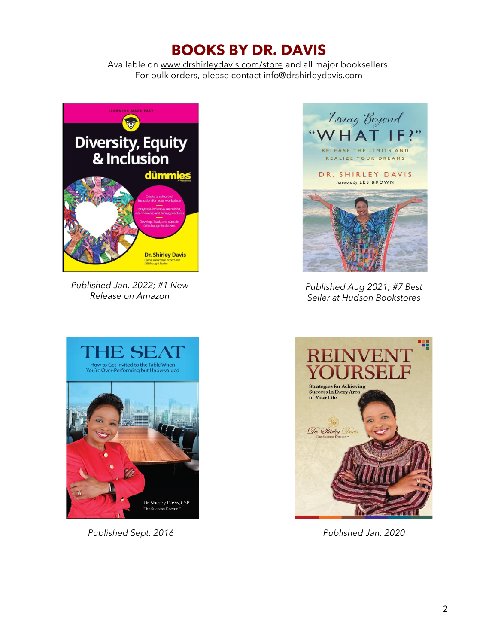# **BOOKS BY DR. DAVIS**

Available on [www.drshirleydavis.com/store](http://www.drshirleydavis.com/store) and all major booksellers. For bulk orders, please contact info@drshirleydavis.com



*Published Jan. 2022; #1 New Release on Amazon*



*Published Sept. 2016 Published Jan. 2020* 



*Published Aug 2021; #7 Best Seller at Hudson Bookstores*

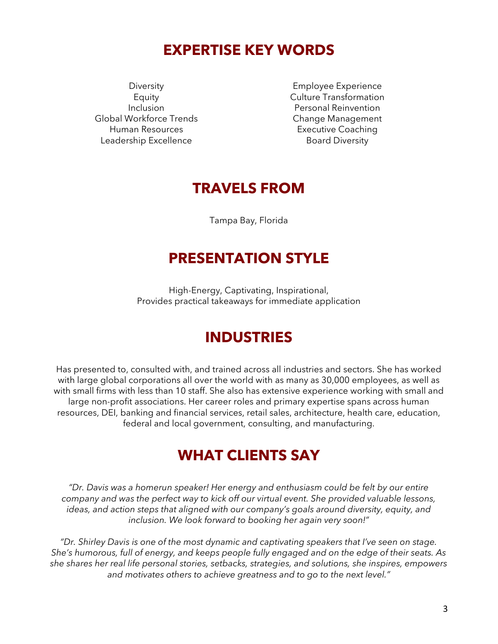### **EXPERTISE KEY WORDS**

Diversity Equity Inclusion Global Workforce Trends Human Resources Leadership Excellence

Employee Experience Culture Transformation Personal Reinvention Change Management Executive Coaching Board Diversity

#### **TRAVELS FROM**

Tampa Bay, Florida

### **PRESENTATION STYLE**

High-Energy, Captivating, Inspirational, Provides practical takeaways for immediate application

# **INDUSTRIES**

Has presented to, consulted with, and trained across all industries and sectors. She has worked with large global corporations all over the world with as many as 30,000 employees, as well as with small firms with less than 10 staff. She also has extensive experience working with small and large non-profit associations. Her career roles and primary expertise spans across human resources, DEI, banking and financial services, retail sales, architecture, health care, education, federal and local government, consulting, and manufacturing.

### **WHAT CLIENTS SAY**

*"Dr. Davis was a homerun speaker! Her energy and enthusiasm could be felt by our entire company and was the perfect way to kick off our virtual event. She provided valuable lessons, ideas, and action steps that aligned with our company's goals around diversity, equity, and inclusion. We look forward to booking her again very soon!"*

*"Dr. Shirley Davis is one of the most dynamic and captivating speakers that I've seen on stage. She's humorous, full of energy, and keeps people fully engaged and on the edge of their seats. As she shares her real life personal stories, setbacks, strategies, and solutions, she inspires, empowers and motivates others to achieve greatness and to go to the next level."*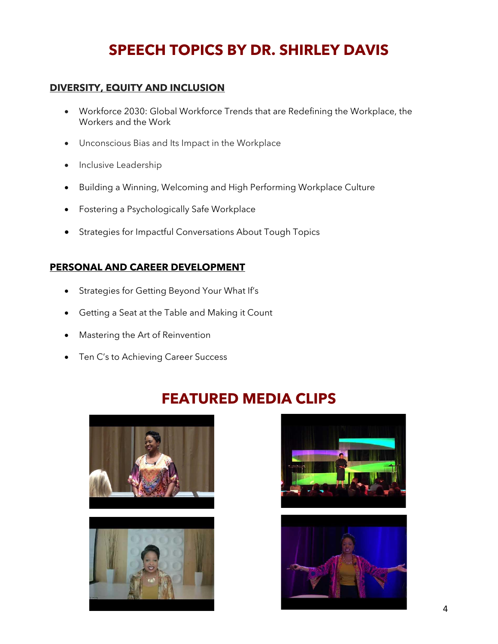# **SPEECH TOPICS BY DR. SHIRLEY DAVIS**

#### **DIVERSITY, EQUITY AND INCLUSION**

- Workforce 2030: Global Workforce Trends that are Redefining the Workplace, the Workers and the Work
- Unconscious Bias and Its Impact in the Workplace
- Inclusive Leadership
- Building a Winning, Welcoming and High Performing Workplace Culture
- Fostering a Psychologically Safe Workplace
- Strategies for Impactful Conversations About Tough Topics

#### **PERSONAL AND CAREER DEVELOPMENT**

- Strategies for Getting Beyond Your What If's
- Getting a Seat at the Table and Making it Count
- Mastering the Art of Reinvention
- Ten C's to Achieving Career Success

# **FEATURED MEDIA CLIPS**







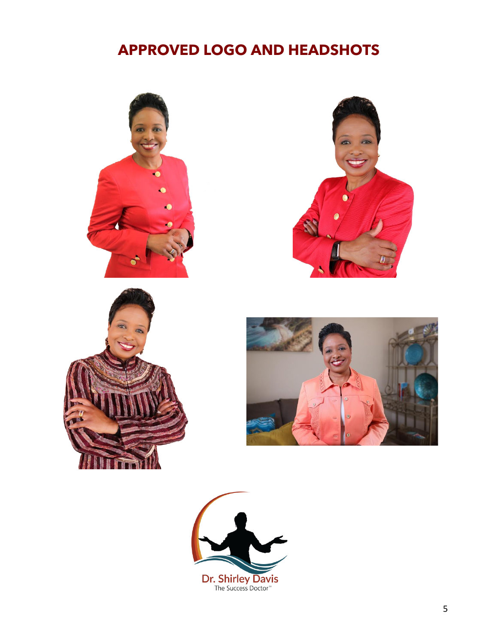# **APPROVED LOGO AND HEADSHOTS**